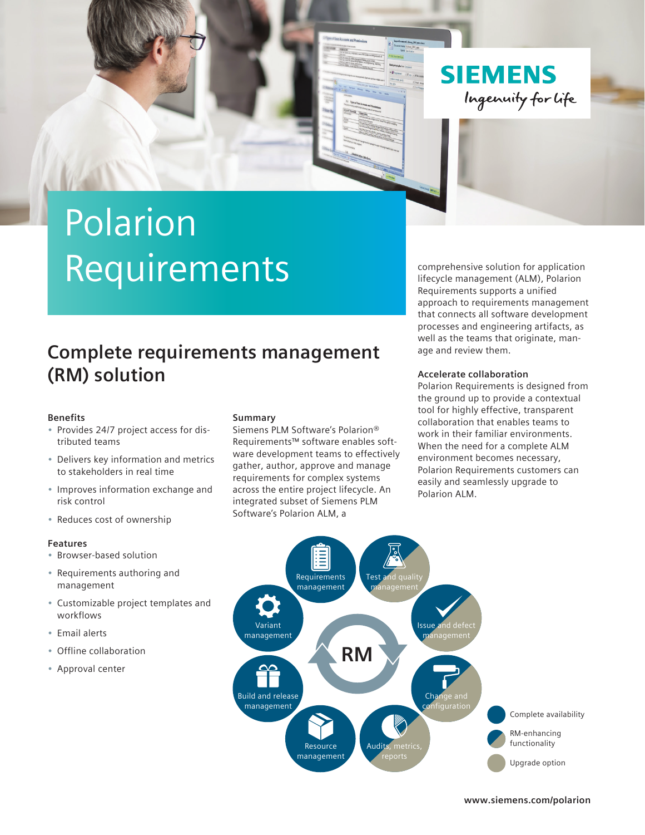

# Polarion Requirements

### **Complete requirements management (RM) solution**

#### **Benefits**

- Provides 24/7 project access for distributed teams
- Delivers key information and metrics to stakeholders in real time
- Improves information exchange and risk control
- Reduces cost of ownership

#### **Features**

- Browser-based solution
- Requirements authoring and management
- Customizable project templates and workflows
- Email alerts
- Offline collaboration
- Approval center

#### **Summary**

Siemens PLM Software's Polarion® Requirements™ software enables software development teams to effectively gather, author, approve and manage requirements for complex systems across the entire project lifecycle. An integrated subset of Siemens PLM Software's Polarion ALM, a

comprehensive solution for application lifecycle management (ALM), Polarion Requirements supports a unified approach to requirements management that connects all software development processes and engineering artifacts, as well as the teams that originate, manage and review them.

#### **Accelerate collaboration**

Polarion Requirements is designed from the ground up to provide a contextual tool for highly effective, transparent collaboration that enables teams to work in their familiar environments. When the need for a complete ALM environment becomes necessary, Polarion Requirements customers can easily and seamlessly upgrade to Polarion ALM.



**[www.siemens.com/polarion](http://www.siemens.com/polarion)**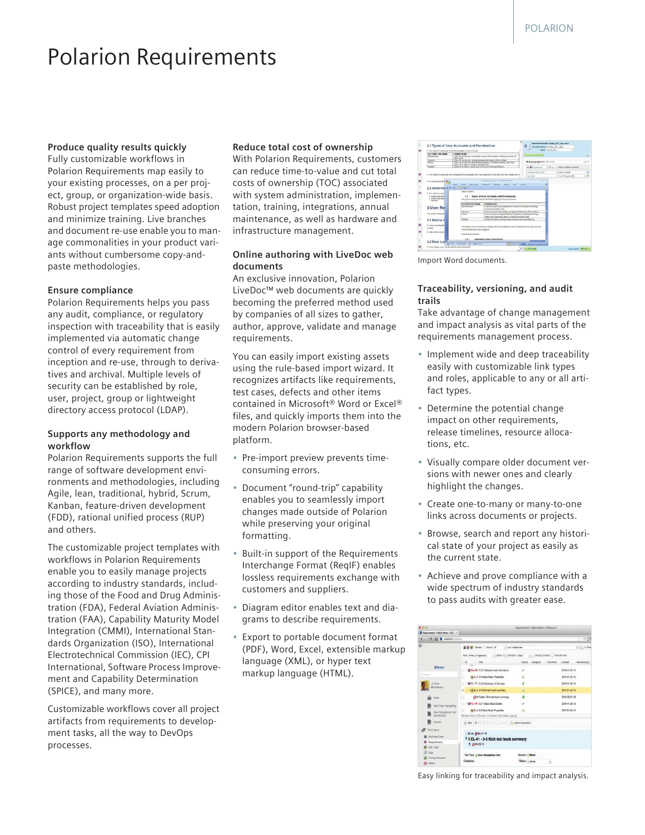## Polarion Requirements

#### **Produce quality results quickly**

Fully customizable workflows in Polarion Requirements map easily to your existing processes, on a per project, group, or organization-wide basis. Robust project templates speed adoption and minimize training. Live branches and document re-use enable you to manage commonalities in your product variants without cumbersome copy-andpaste methodologies.

#### **Ensure compliance**

Polarion Requirements helps you pass any audit, compliance, or regulatory inspection with traceability that is easily implemented via automatic change control of every requirement from inception and re-use, through to derivatives and archival. Multiple levels of security can be established by role, user, project, group or lightweight directory access protocol (LDAP).

#### **Supports any methodology and workflow**

Polarion Requirements supports the full range of software development environments and methodologies, including Agile, lean, traditional, hybrid, Scrum, Kanban, feature-driven development (FDD), rational unified process (RUP) and others.

The customizable project templates with workflows in Polarion Requirements enable you to easily manage projects according to industry standards, including those of the Food and Drug Administration (FDA), Federal Aviation Administration (FAA), Capability Maturity Model Integration (CMMI), International Standards Organization (ISO), International Electrotechnical Commission (IEC), CPI International, Software Process Improvement and Capability Determination (SPICE), and many more.

Customizable workflows cover all project artifacts from requirements to development tasks, all the way to DevOps processes.

#### **Reduce total cost of ownership**

With Polarion Requirements, customers can reduce time-to-value and cut total costs of ownership (TOC) associated with system administration, implementation, training, integrations, annual maintenance, as well as hardware and infrastructure management.

#### **Online authoring with LiveDoc web documents**

An exclusive innovation, Polarion LiveDoc™ web documents are quickly becoming the preferred method used by companies of all sizes to gather, author, approve, validate and manage requirements.

You can easily import existing assets using the rule-based import wizard. It recognizes artifacts like requirements, test cases, defects and other items contained in Microsoft® Word or Excel® files, and quickly imports them into the modern Polarion browser-based platform.

- Pre-import preview prevents timeconsuming errors.
- Document "round-trip" capability enables you to seamlessly import changes made outside of Polarion while preserving your original formatting.
- Built-in support of the Requirements Interchange Format (ReqIF) enables lossless requirements exchange with customers and suppliers.
- Diagram editor enables text and diagrams to describe requirements.
- Export to portable document format (PDF), Word, Excel, extensible markup language (XML), or hyper text markup language (HTML).

|                                                                                                                                                       | 9. The nother must provide for the following bases of unet accounts.                                        |                                                                                                                        | State: Sandraton                     | ٠                                      |            |
|-------------------------------------------------------------------------------------------------------------------------------------------------------|-------------------------------------------------------------------------------------------------------------|------------------------------------------------------------------------------------------------------------------------|--------------------------------------|----------------------------------------|------------|
| <b>ACCOMME EVEN MANAL</b>                                                                                                                             | <b>FERRYSKINS</b>                                                                                           |                                                                                                                        | th aust street men Dute              |                                        | <b>GEN</b> |
| Administrator                                                                                                                                         | <b><i>UESAL VINES</i></b>                                                                                   | User can access are component or area of the system including accounts of                                              |                                      |                                        |            |
| Libratian<br><b>Patron</b>                                                                                                                            | User car access the catalog management features of the system.<br>check out, check at receive, and pumbace. | lear can access the personal lines features, including bossesses, searching.                                           | <b>Mail paragraphs from Document</b> |                                        | x          |
| States                                                                                                                                                | Salve as a Patron, except may not access Purchase leasures.                                                 |                                                                                                                        | as @livestowned                      | - I say in of the conditions are real. |            |
|                                                                                                                                                       |                                                                                                             |                                                                                                                        | contains words (anA).                | $-$ must should                        | ×          |
|                                                                                                                                                       |                                                                                                             | 2 - The potters must provide soon management to manage the your role assignments. Each your can have multiple soar rol | <b>Base stude</b>                    | A. Lat Paramah &                       |            |
| 3. Emurity possible 1. Che                                                                                                                            |                                                                                                             | E Glewy 2011 saw - Marasch World                                                                                       | $\mathbf{x}$<br>$\sim$               |                                        |            |
|                                                                                                                                                       |                                                                                                             |                                                                                                                        |                                      |                                        |            |
|                                                                                                                                                       | <b>Bond Lessed</b><br><b>Service</b>                                                                        | Edwards Holiday<br><b>Basico</b><br>View                                                                               | <b>Addition</b>                      |                                        |            |
|                                                                                                                                                       | <b>Farmer</b>                                                                                               |                                                                                                                        |                                      |                                        |            |
|                                                                                                                                                       | Library system.                                                                                             |                                                                                                                        |                                      |                                        |            |
|                                                                                                                                                       |                                                                                                             |                                                                                                                        |                                      |                                        |            |
| a Guidan Administration<br>Cabina Manager<br>Linkedon                                                                                                 | 2.1                                                                                                         | <b>Types of User Accounts and Permissions</b><br>The system must provide for the following types of user accounts:     |                                      |                                        |            |
|                                                                                                                                                       | <b>ACCOUNT THIS NAME</b>                                                                                    | PERMITIKONS                                                                                                            |                                      |                                        |            |
|                                                                                                                                                       | Administrator                                                                                               | List canaries any opponent or assault the system reliable<br>accounts of ather users                                   |                                      |                                        |            |
|                                                                                                                                                       | <b>Librarian</b>                                                                                            | User can access the catalog management fastures of the oxitem.                                                         |                                      |                                        |            |
|                                                                                                                                                       | <b>Bahanya</b>                                                                                              | Vien can access the personal lonary features, including browning,                                                      |                                      |                                        |            |
|                                                                                                                                                       | <b>Students</b>                                                                                             | searching, check out, check in, reserve, and purchase<br>Same as a Patron warned may not access Bushare Seatures.      |                                      |                                        |            |
|                                                                                                                                                       |                                                                                                             |                                                                                                                        |                                      |                                        |            |
| 2.2 Adminis M = 0 3 A di -<br>4 . The orders result on<br>3 User Re<br><b>Floor marries customer for</b><br>3.1 Online L<br>S. Characterist be alter- |                                                                                                             | The system must provide user management to manage the user role assignments. Each user can                             |                                      |                                        |            |
| ESWARAT                                                                                                                                               | have multiple user roles assigned.                                                                          |                                                                                                                        |                                      |                                        |            |
| 6. New years must get                                                                                                                                 | messaging accordance.                                                                                       |                                                                                                                        |                                      |                                        |            |

Import Word documents.

#### **Traceability, versioning, and audit trails**

Take advantage of change management and impact analysis as vital parts of the requirements management process.

- Implement wide and deep traceability easily with customizable link types and roles, applicable to any or all artifact types.
- Determine the potential change impact on other requirements, release timelines, resource allocations, etc.
- Visually compare older document versions with newer ones and clearly highlight the changes.
- Create one-to-many or many-to-one links across documents or projects.
- Browse, search and report any historical state of your project as easily as the current state.
- Achieve and prove compliance with a wide spectrum of industry standards to pass audits with greater ease.



Easy linking for traceability and impact analysis.